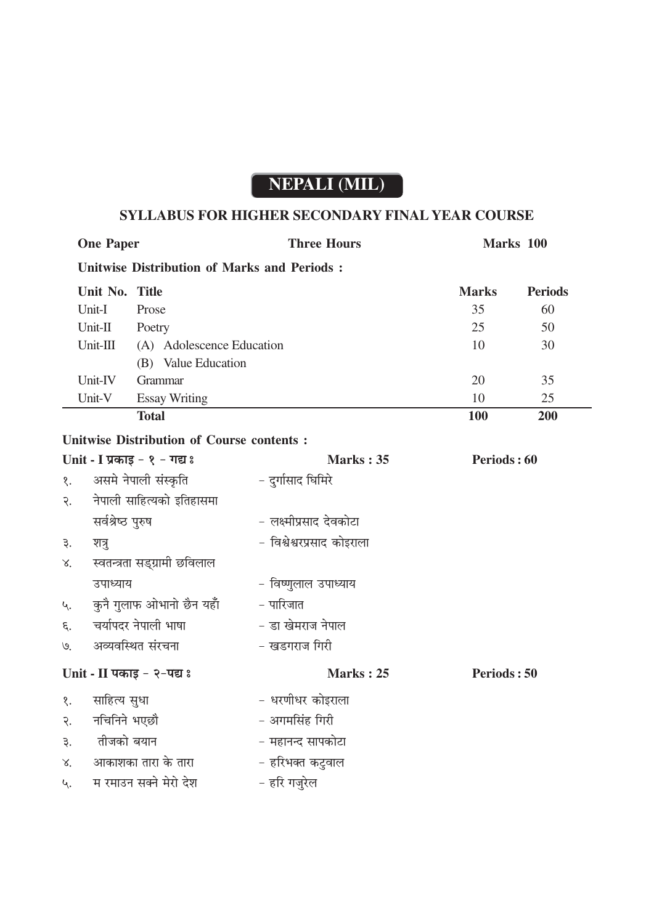## NEPALI (MIL)

## SYLLABUS FOR HIGHER SECONDARY FINAL YEAR COURSE

| <b>One Paper</b>                |                                                    | <b>Three Hours</b>         | Marks 100    |                |
|---------------------------------|----------------------------------------------------|----------------------------|--------------|----------------|
|                                 | <b>Unitwise Distribution of Marks and Periods:</b> |                            |              |                |
| Unit No. Title                  |                                                    |                            | <b>Marks</b> | <b>Periods</b> |
| Unit-I                          | Prose                                              |                            | 35           | 60             |
| Unit-II                         | Poetry                                             |                            | 25           | 50             |
| Unit-III                        | (A) Adolescence Education                          |                            | 10           | 30             |
|                                 | (B) Value Education                                |                            |              |                |
| Unit-IV                         | Grammar                                            |                            | 20           | 35             |
| Unit-V                          | <b>Essay Writing</b>                               |                            | 10           | 25             |
|                                 | <b>Total</b>                                       |                            | <b>100</b>   | 200            |
|                                 | <b>Unitwise Distribution of Course contents:</b>   |                            |              |                |
| Unit - I प्रकाइ - १ - गद्य :    |                                                    | Marks: 35                  | Periods: 60  |                |
| असमे नेपाली संस्कृति<br>१.      |                                                    | - दुर्गासाद घिमिरे         |              |                |
| २.                              | नेपाली साहित्यको इतिहासमा                          |                            |              |                |
| सर्वश्रेष्ठ पुरुष               |                                                    | - लक्ष्मीप्रसाद देवकोटा    |              |                |
| ३.<br>शत्रु                     |                                                    | - विश्वेश्वरप्रसाद कोइराला |              |                |
| X.                              | स्वतन्त्रता सड्ग्रामी छविलाल                       |                            |              |                |
| उपाध्याय                        |                                                    | – विष्णुलाल उपाध्याय       |              |                |
| कुनै गुलाफ ओभानो छैन यहाँ<br>Ц. |                                                    | - पारिजात                  |              |                |
| चर्यापदर नेपाली भाषा<br>६.      |                                                    | - डा खेमराज नेपाल          |              |                |
| ७.                              | अव्यवस्थित संरचना                                  | - खडगराज गिरी              |              |                |
| Unit - II पकाइ - २-पद्य :       |                                                    | Marks: 25                  | Periods: 50  |                |
| साहित्य सुधा<br>१.              |                                                    | - धरणीधर कोइराला           |              |                |
| २.                              | नचिनिने भएछौ                                       | - अगमसिंह गिरी             |              |                |
| ३.                              | तीजको बयान                                         | - महानन्द सापकोटा          |              |                |
| X.                              | आकाशका तारा के तारा                                | - हरिभक्त कटुवाल           |              |                |
| Ц.                              | म रमाउन सक्ने मेरो देश                             | - हरि गज़रेल               |              |                |